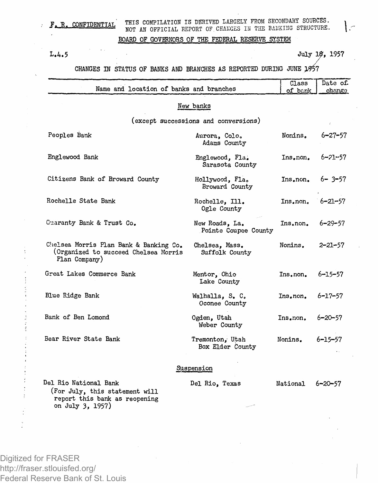## F. R. CONFIDENTIAL THIS COMPILATION IS DERIVED LARGELY FROM SECONDARY SOURCES. NOT AN OFFICIAL REPORT OF CHANGES IN THE BANKING STRUCTURE.

## BOARD OF GOVERNORS OF THE FEDERAL RESERVE SYSTEM

L.4.5 July *18,* 1957

 $\mathsf{L}$ 

## CHANGES IN STATUS OF BANKS AND BRANCHES AS REPORTED DURING JUNE 1957

| Name and location of banks and branches                                                                      |                                        | Class<br>of bank | Date of.<br>change |
|--------------------------------------------------------------------------------------------------------------|----------------------------------------|------------------|--------------------|
|                                                                                                              | New banks                              |                  |                    |
|                                                                                                              | (except successions and conversions)   |                  |                    |
| Peoples Bank                                                                                                 | Aurora, Colo.<br>Adams County          | Nonins.          | 6–27–57            |
| Englewood Bank                                                                                               | Englewood, Fla.<br>Sarasota County     | Ins.non.         | $6 - 21 - 57$      |
| Citizens Bank of Broward County                                                                              | Hollywood, Fla.<br>Broward County      | Ins.non.         | $6 - 3 - 57$       |
| Rochelle State Bank                                                                                          | Rochelle, Ill.<br>Ogle County          | Ins.non.         | $6 - 21 - 57$      |
| Cuaranty Bank & Trust Co.                                                                                    | New Roads. La.<br>Pointe Coupee County | Ins.non.         | $6 - 29 - 57$      |
| Chelsea Morris Plan Bank & Banking Co.<br>(Organized to succeed Chelsea Morris<br>Plan Company)              | Chelsea, Mass.<br>Suffolk County       | Nonins.          | 2–21–57            |
| Great Lakes Commerce Bank                                                                                    | Mentor, Ohio<br>Lake County            | Ins.non.         | $6 - 15 - 57$      |
| Blue Ridge Bank                                                                                              | Walhalla, S. C.<br>Oconee County       | Ins.non.         | $6 - 17 - 57$      |
| Bank of Ben Lomond                                                                                           | Ogden, Utah<br>Weber County            | Ins.non.         | $6 - 20 - 57$      |
| Bear River State Bank                                                                                        | Tremonton, Utah<br>Box Elder County    | Nonins.          | $6 - 15 - 57$      |
|                                                                                                              | Suspension                             |                  |                    |
| Del Rio National Bank<br>(For July, this statement will<br>report this bank as reopening<br>on July 3, 1957) | Del Rio, Texas                         | National         | 6-20-57            |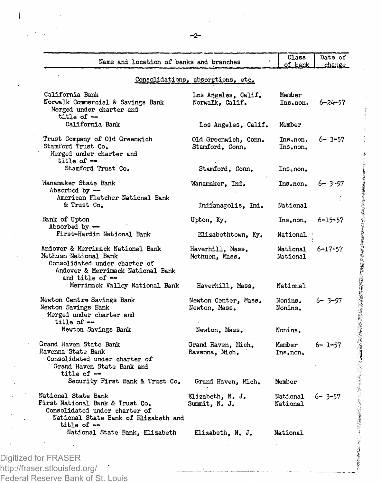| Consolidations, absorptions, etc.<br>California Bank<br>Los Angeles, Calif.<br>Member<br>Norwalk Commercial & Savings Bank<br>Norwalk, Calif.<br>Ins.non.<br>Merged under charter and<br>title of -<br>California Bank<br>Member<br>Los Angeles, Calif.<br>Trust Company of Old Greenwich<br>Ins, non,<br>Old Greenwich, Conn.<br>Stamford Trust Co.<br>Stamford, Conn.<br>Ins.non.<br>Merged under charter and<br>title of $-$<br>Stamford Trust Co.<br>Stamford, Conn.<br>Ins.non.<br>. Wanamaker State Bank<br>Wanamaker, Ind.<br>Ins.non.<br>Absorbed by $-$<br>American Fletcher National Bank<br>& Trust Co.<br>Indianapolis, Ind.<br>National<br>Bank of Upton<br>Upton, Ky.<br>Ins.non.<br>Absorbed by $-$<br>First-Hardin National Bank<br>Elizabethtown, Ky.<br>National <sup>.</sup><br>Andover & Merrimack National Bank<br>Haverhill, Mass.<br>National<br>Methuen National Bank<br>Methuen, Mass.<br>National<br>Consolidated under charter of<br>Andover & Merrimack National Bank<br>and title of --<br>Merrimack Valley National Bank<br>Haverhill, Mass.<br>National<br>Newton Centre Savings Bank<br>Newton Center, Mass.<br>Nonins,<br>Newton Savings Bank<br>Newton, Mass.<br>Nonins. | Name and location of banks and branches | Class<br>of bank | Date of<br>change |
|------------------------------------------------------------------------------------------------------------------------------------------------------------------------------------------------------------------------------------------------------------------------------------------------------------------------------------------------------------------------------------------------------------------------------------------------------------------------------------------------------------------------------------------------------------------------------------------------------------------------------------------------------------------------------------------------------------------------------------------------------------------------------------------------------------------------------------------------------------------------------------------------------------------------------------------------------------------------------------------------------------------------------------------------------------------------------------------------------------------------------------------------------------------------------------------------------------|-----------------------------------------|------------------|-------------------|
|                                                                                                                                                                                                                                                                                                                                                                                                                                                                                                                                                                                                                                                                                                                                                                                                                                                                                                                                                                                                                                                                                                                                                                                                            |                                         |                  |                   |
|                                                                                                                                                                                                                                                                                                                                                                                                                                                                                                                                                                                                                                                                                                                                                                                                                                                                                                                                                                                                                                                                                                                                                                                                            |                                         |                  | 6-24-57           |
|                                                                                                                                                                                                                                                                                                                                                                                                                                                                                                                                                                                                                                                                                                                                                                                                                                                                                                                                                                                                                                                                                                                                                                                                            |                                         |                  |                   |
|                                                                                                                                                                                                                                                                                                                                                                                                                                                                                                                                                                                                                                                                                                                                                                                                                                                                                                                                                                                                                                                                                                                                                                                                            |                                         |                  | $6 - 3 - 57$      |
|                                                                                                                                                                                                                                                                                                                                                                                                                                                                                                                                                                                                                                                                                                                                                                                                                                                                                                                                                                                                                                                                                                                                                                                                            |                                         |                  |                   |
|                                                                                                                                                                                                                                                                                                                                                                                                                                                                                                                                                                                                                                                                                                                                                                                                                                                                                                                                                                                                                                                                                                                                                                                                            |                                         |                  | $6 - 3 - 57$      |
|                                                                                                                                                                                                                                                                                                                                                                                                                                                                                                                                                                                                                                                                                                                                                                                                                                                                                                                                                                                                                                                                                                                                                                                                            |                                         |                  |                   |
|                                                                                                                                                                                                                                                                                                                                                                                                                                                                                                                                                                                                                                                                                                                                                                                                                                                                                                                                                                                                                                                                                                                                                                                                            |                                         |                  | 6-15-57           |
|                                                                                                                                                                                                                                                                                                                                                                                                                                                                                                                                                                                                                                                                                                                                                                                                                                                                                                                                                                                                                                                                                                                                                                                                            |                                         |                  |                   |
|                                                                                                                                                                                                                                                                                                                                                                                                                                                                                                                                                                                                                                                                                                                                                                                                                                                                                                                                                                                                                                                                                                                                                                                                            |                                         |                  | $6 - 17 - 57$     |
|                                                                                                                                                                                                                                                                                                                                                                                                                                                                                                                                                                                                                                                                                                                                                                                                                                                                                                                                                                                                                                                                                                                                                                                                            |                                         |                  |                   |
| title of --                                                                                                                                                                                                                                                                                                                                                                                                                                                                                                                                                                                                                                                                                                                                                                                                                                                                                                                                                                                                                                                                                                                                                                                                | Merged under charter and                |                  | 6-3-57            |
| Newton Savings Bank<br>Newton, Mass.<br>Nonins.                                                                                                                                                                                                                                                                                                                                                                                                                                                                                                                                                                                                                                                                                                                                                                                                                                                                                                                                                                                                                                                                                                                                                            |                                         |                  |                   |
| Grand Haven State Bank<br>Member<br>Grand Haven, Mich.<br>Ravenna State Bank<br>Ravenna, Mich.<br>Ins.non,<br>Consolidated under charter of<br>Grand Haven State Bank and<br>title of $-$                                                                                                                                                                                                                                                                                                                                                                                                                                                                                                                                                                                                                                                                                                                                                                                                                                                                                                                                                                                                                  |                                         |                  | 6- 1-57           |
| Security First Bank & Trust Co.<br>Grand Haven, Mich.<br>Member                                                                                                                                                                                                                                                                                                                                                                                                                                                                                                                                                                                                                                                                                                                                                                                                                                                                                                                                                                                                                                                                                                                                            |                                         |                  |                   |
| National State Bank<br>Elizabeth, N. J.<br>National<br>$6 - 3 - 57$<br>First National Bank & Trust Co.<br>Summit, N. J.<br>National<br>Consolidated under charter of<br>National State Bank of Elizabeth and<br>title of $-$                                                                                                                                                                                                                                                                                                                                                                                                                                                                                                                                                                                                                                                                                                                                                                                                                                                                                                                                                                               |                                         |                  |                   |
| National State Bank, Elizabeth<br>Elizabeth, N. J.<br>National                                                                                                                                                                                                                                                                                                                                                                                                                                                                                                                                                                                                                                                                                                                                                                                                                                                                                                                                                                                                                                                                                                                                             |                                         |                  |                   |
|                                                                                                                                                                                                                                                                                                                                                                                                                                                                                                                                                                                                                                                                                                                                                                                                                                                                                                                                                                                                                                                                                                                                                                                                            |                                         |                  |                   |

http://fraser.stlouisfed.org/ Federal Reserve Bank of St. Louis

Ì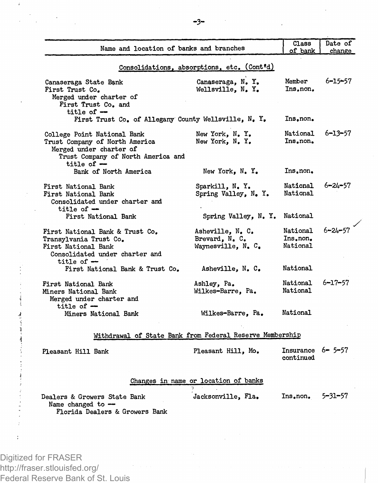| Name and location of banks and branches                                                                                                        |                                                          | Class<br>of bank                    | Date of<br>change |
|------------------------------------------------------------------------------------------------------------------------------------------------|----------------------------------------------------------|-------------------------------------|-------------------|
|                                                                                                                                                |                                                          |                                     |                   |
|                                                                                                                                                | Consolidations, absorptions, etc. (Cont'd)               |                                     |                   |
| Canaseraga State Bank<br>First Trust Co.<br>Merged under charter of<br>First Trust Co. and<br>title of $-$                                     | Canaseraga, N.Y.<br>Wellsville, N. Y.                    | Member<br>Ins.non.                  | $6 - 15 - 57$     |
| First Trust Co. of Allegany County Wellsville, N. Y.                                                                                           |                                                          | Ins.non.                            |                   |
| College Point National Bank<br>Trust Company of North America<br>Merged under charter of<br>Trust Company of North America and<br>title of $-$ | New York, N.Y.<br>New York, N.Y.                         | National<br>Ins.non.                | $6 - 13 - 57$     |
| Bank of North America                                                                                                                          | New York, N.Y.                                           | Ins, non,                           |                   |
| First National Bank<br>First National Bank<br>Consolidated under charter and<br>title of $-$                                                   | Sparkill, N.Y.<br>Spring Valley, N. Y.                   | National<br>National                | $6 - 24 - 57$     |
| First National Bank                                                                                                                            | Spring Valley, N.Y.                                      | National                            |                   |
| First National Bank & Trust Co.<br>Transylvania Trust Co.<br>First National Bank<br>Consolidated under charter and<br>title of $-$             | Asheville, N. C.<br>Brevard, N.C.<br>Waynesville, N. C.  | National<br>Ins.non.<br>National    | $6 - 24 - 57$     |
| First National Bank & Trust Co.                                                                                                                | Asheville, N. C.                                         | National                            |                   |
| First National Bank<br>Miners National Bank<br>Merged under charter and                                                                        | Ashley, Pa.<br>Wilkes-Barre, Pa.                         | National<br>National                | $6 - 17 - 57$     |
| title of $-$<br>Miners National Bank                                                                                                           | Wilkes-Barre, Pa.                                        | National                            |                   |
|                                                                                                                                                | Withdrawal of State Bank from Federal Reserve Membership |                                     |                   |
| Pleasant Hill Bank                                                                                                                             | Pleasant Hill, Mo.                                       | Insurance $6 - 5 - 57$<br>continued |                   |
|                                                                                                                                                | Changes in name or location of banks                     |                                     |                   |
| Dealers & Growers State Bank<br>Name changed to --<br>Florida Dealers & Growers Bank                                                           | Jacksonville, Fla.                                       | Ins.non.                            | 5-31-57           |
|                                                                                                                                                |                                                          |                                     |                   |
|                                                                                                                                                |                                                          |                                     |                   |

Digitized for FRASER http://fraser.stlouisfed.org/ Federal Reserve Bank of St. Louis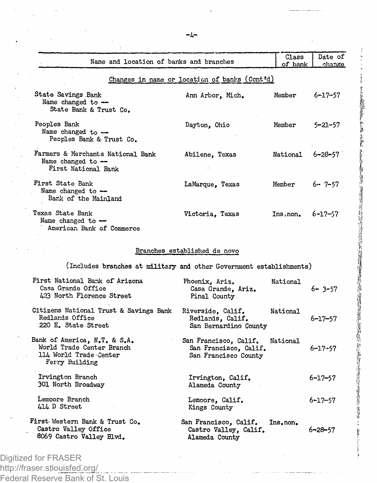|                                                                                                       | Name and location of banks and branches                                | Class<br>of bank | Date of<br>change |
|-------------------------------------------------------------------------------------------------------|------------------------------------------------------------------------|------------------|-------------------|
|                                                                                                       | Changes in name or location of banks (Cont'd)                          |                  |                   |
| State Savings Bank<br>Name changed to $-$<br>State Bank & Trust Co.                                   | Ann Arbor, Mich.                                                       | Member           | 6–17–57           |
| Peoples Bank<br>Name changed to -<br>Peoples Bank & Trust Co.                                         | Dayton, Ohio                                                           | Member           | 5-21-57           |
| Farmers & Merchants National Bank<br>Name changed to --<br>First National Bank                        | Abilene, Texas                                                         | National         | 6-28-57           |
| First State Bank<br>Name changed to -<br>Bank of the Mainland                                         | LaMarque, Texas                                                        | Member           | 6- 7-57           |
| Texas State Bank<br>Name changed to -<br>American Bank of Commerce                                    | Victoria, Texas                                                        | Ins, non,        | $6 - 17 - 57$     |
|                                                                                                       | Branches established de novo                                           |                  |                   |
| (Includes branches at military and other Government establishments)                                   |                                                                        |                  |                   |
| First National Bank of Arizona<br>Casa Grande Office<br>423 North Florence Street                     | Phoenix, Ariz.<br>Casa Grande, Ariz.<br>Pinal County                   | National         | 6-3-57            |
|                                                                                                       |                                                                        |                  |                   |
| Citizens National Trust & Savings Bank<br>Redlands Office<br>220 E. State Street                      | Riverside, Calif.<br>Redlands, Calif.<br>San Bernardino County         | National         | 6-17-57           |
| Bank of America, N.T. & S.A.<br>World Trade Center Branch<br>114 World Trade Center<br>Ferry Building | San Francisco, Calif.<br>San Francisco, Calif.<br>San Francisco County | National         | 6–17–57           |
| Irvington Branch<br>301 North Broadway                                                                | Irvington, Calif.<br>Alameda County                                    |                  | 6-17-57           |
| Lemoore Branch<br>414 D Street                                                                        | Lemoore, Calif.<br>Kings County                                        |                  | 6-17-57           |

http://fraser.stlouisfed.org/ Federal Reserve Bank of St. Louis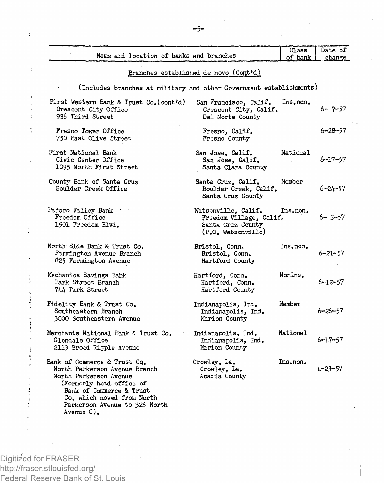| Name and location of banks and branches                                                                                                                                                                                      |                                                                                           | Class<br>of bank      | Date of<br>change |
|------------------------------------------------------------------------------------------------------------------------------------------------------------------------------------------------------------------------------|-------------------------------------------------------------------------------------------|-----------------------|-------------------|
|                                                                                                                                                                                                                              | Branches established de novo (Cont'd)                                                     |                       |                   |
| (Includes branches at military and other Government establishments)                                                                                                                                                          |                                                                                           |                       |                   |
| First Western Bank & Trust Co. (cont'd)<br>Crescent City Office<br>936 Third Street                                                                                                                                          | San Francisco, Calif.<br>Crescent City, Calif.<br>Del Norte County                        | Ins.non.              | $6 - 7 - 57$      |
| Fresno Tower Office<br>750 East Olive Street                                                                                                                                                                                 | Fresno, Calif.<br>Fresno County                                                           |                       | 6-28-57           |
| First National Bank<br>Civic Center Office<br>1095 North First Street                                                                                                                                                        | San Jose, Calif.<br>San Jose, Calif.<br>Santa Clara County                                | National              | $6 - 17 - 57$     |
| County Bank of Santa Cruz<br>Boulder Creek Office                                                                                                                                                                            | Santa Cruz, Calif.<br>Boulder Creek, Calif.<br>Santa Cruz County                          | Member                | $6 - 24 - 57$     |
| Pajaro Valley Bank<br>Freedom Office<br>1501 Freedom Blvd.                                                                                                                                                                   | Watsonville, Calif.<br>Freedom Village, Calif.<br>Santa Cruz County<br>(P.C. Watsonville) | Ins <sub>a</sub> non. | $6 - 3 - 57$      |
| North Side Bank & Trust Co.<br>Farmington Avenue Branch<br>825 Farmington Avenue                                                                                                                                             | Bristol, Conn,<br>Bristol, Conn.<br>Hartford County                                       | Ins, non,             | $6 - 21 - 57$     |
| Mechanics Savings Bank<br>Park Street Branch<br>744 Park Street                                                                                                                                                              | Hartford, Conn.<br>Hartford, Conn.<br>Hartford County                                     | Nonins.               | $6 - 12 - 57$     |
| Fidelity Bank & Trust Co.<br>Southeastern Branch<br>3000 Southeastern Avenue                                                                                                                                                 | Indianapolis, Ind.<br>Indianapolis, Ind.<br>Marion County                                 | Member                | $6 - 26 - 57$     |
| Merchants National Bank & Trust Co.<br>Glendale Office<br>2113 Broad Ripple Avenue                                                                                                                                           | Indianapolis, Ind.<br>Indianapolis. Ind.<br>Marion County                                 | National              | $6 - 17 - 57$     |
| Bank of Commerce & Trust Co.<br>North Parkerson Avenue Branch<br>North Parkerson Avenue<br>(Formerly head office of<br>Bank of Commerce & Trust<br>Co. which moved from North<br>Parkerson Avenue to 326 North<br>Avenue G). | Crowley, La.<br>Crowley, La.<br>Acadia County                                             | Ins.non.              | $4 - 23 - 57$     |

Digitized for FRASER http://fraser.stlouisfed.org/ Federal Reserve Bank of St. Louis

 $\ddot{\phantom{a}}$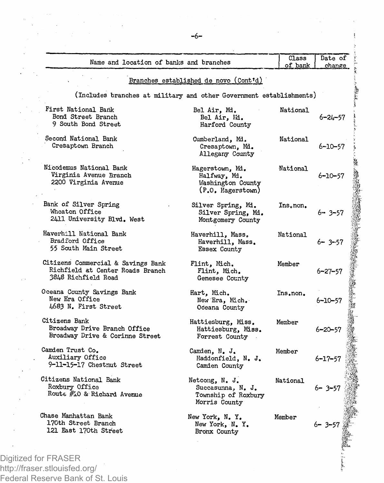| Name and location of banks and branches                                                       |                                                                             | Class<br>of bank | Date of<br>change |
|-----------------------------------------------------------------------------------------------|-----------------------------------------------------------------------------|------------------|-------------------|
|                                                                                               | Branches established de novo (Cont'd)                                       |                  |                   |
| (Includes branches at military and other Government establishments)                           |                                                                             |                  |                   |
| First National Bank<br>Bond Street Branch<br>9 South Bond Street                              | Bel Air, Md.<br>Bel Air, Md.<br>Harford County                              | National         | $6 - 24 - 57$     |
| Second National Bank<br>Cresaptown Branch                                                     | Cumberland, Md.<br>Cresaptown, Md.<br>Allegany County                       | National         | 6-10-57           |
| Nicodemus National Bank<br>Virginia Avenue Branch<br>2200 Virginia Avenue                     | Hagerstown, Md.<br>Halfway, Md.<br>Washington County<br>(P.O. Hagerstown)   | National         | 6-10-57           |
| Bank of Silver Spring<br>Wheaton Office<br>2411 University Blvd. West                         | Silver Spring, Md.<br>Silver Spring, Md.<br>Montgomery County               | Ins.non.         | $6 - 3 - 57$      |
| Haverhill National Bank<br>Bradford Office<br>55 South Main Street                            | Haverhill, Mass.<br>Haverhill, Mass.<br>Essex County                        | National         | $6 - 3 - 57$      |
| Citizens Commercial & Savings Bank<br>Richfield at Center Roads Branch<br>3848 Richfield Road | Flint, Mich.<br>Flint, Mich.<br>Genesee County                              | Member           | 6–27–57           |
| Oceana County Savings Bank<br>New Era Office<br>4683 N. First Street                          | Hart, Mich.<br>New Era, Mich.<br>Oceana County                              | Ins.non.         | $6 - 10 - 57$     |
| Citizens Bank<br>Broadway Drive Branch Office<br>Broadway Drive & Corinne Street              | Hattiesburg, Miss.<br>Hattiesburg, Miss.<br>Forrest County                  | Member           | $6 - 20 - 57$     |
| Camden Trust Co.<br>Auxiliary Office<br>9-11-15-17 Chestnut Street                            | Camden, N. J.<br>Haddonfield, N. J.<br>Camden County                        | Member           | $6 - 17 - 57$     |
| Citizens National Bank<br>Roxbury Office<br>Route #10 & Richard Avenue                        | Netcong, N. J.<br>Succasunna. N. J.<br>Township of Roxbury<br>Morris County | National         | $6 - 3 - 57$      |
| Chase Manhattan Bank<br>170th Street Branch<br>121 East 170th Street                          | New York, N.Y.<br>New York, N.Y.<br>Bronx County                            | Member           | $6 - 3 - 57$      |

i<br>K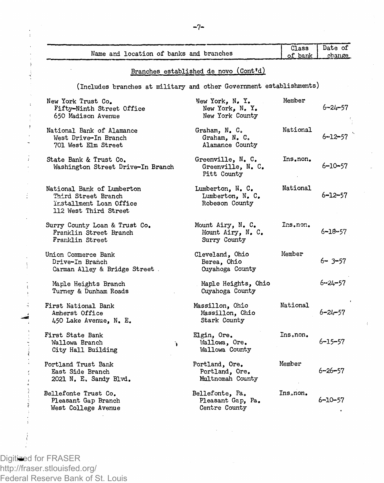|                                                                                                       | Branches established de novo (Cont'd)                  |           |               |
|-------------------------------------------------------------------------------------------------------|--------------------------------------------------------|-----------|---------------|
| (Includes branches at military and other Government establishments)                                   |                                                        |           |               |
| New York Trust Co.<br>Fifty-Ninth Street Office<br>650 Madison Avenue                                 | New York, N.Y.<br>New York, N. Y.<br>New York County   | Member    | $6 - 24 - 57$ |
| National Bank of Alamance<br>West Drive-In Branch<br>701 West Elm Street                              | Graham, N. C.<br>Graham, N. C.<br>Alamance County      | National  | $6 - 12 - 57$ |
| State Bank & Trust Co.<br>Washington Street Drive-In Branch                                           | Greenville, N. C.<br>Greenville, N. C.<br>Pitt County  | Ins.non.  | $6 - 10 - 57$ |
| National Bank of Lumberton<br>Third Street Branch<br>ïnstallment Loan Office<br>112 West Third Street | Lumberton, N.C.<br>Lumberton, N. C.<br>Robeson County  | National  | $6 - 12 - 57$ |
| Surry County Loan & Trust Co.<br>Franklin Street Branch<br>Franklin Street                            | Mount Airy, N. C.<br>Mount Airy, N. C.<br>Surry County | Ins.non.  | $6 - 18 - 57$ |
| Union Commerce Bank<br>Drive-In Branch<br>Carman Alley & Bridge Street                                | Cleveland, Ohio<br>Berea, Ohio<br>Cuyahoga County      | Member    | $6 - 3 - 57$  |
| Maple Heights Branch<br>Turney & Dunham Roads                                                         | Maple Heights, Ohio<br>Cuyahoga County                 |           | 6-24-57       |
| First National Bank<br>Amherst Office<br>450 Lake Avenue, N. E.                                       | Massillon, Ohio<br>Massillon, Ohio<br>Stark County     | National  | $6 - 24 - 57$ |
| First State Bank<br>Wallowa Branch<br>¥<br>City Hall Building                                         | Elgin, Ore.<br>Wallowa, Ore.<br>Wallowa County         | Ins.non.  | $6 - 15 - 57$ |
| Portland Trust Bank<br>East Side Branch<br>2021 N. E. Sandy Blvd.                                     | Portland, Ore.<br>Portland. Ore.<br>Multnomah County   | Member    | $6 - 26 - 57$ |
| Bellefonte Trust Co.<br>Pleasant Gap Branch<br>West College Avenue                                    | Bellefonte, Pa.<br>Pleasant Gap, Pa.<br>Centre County  | Ins, non. | $6 - 10 - 57$ |

Digitized for FRASER http://fraser.stlouisfed.org/ Federal Reserve Bank of St. Louis Class Date of Dank change

Name and location of banks and branches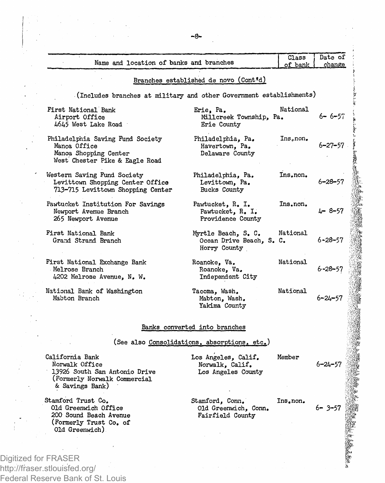| Name and location of banks and branches                                                                               |                                                                 | Class<br>of bank | Date of<br>change |
|-----------------------------------------------------------------------------------------------------------------------|-----------------------------------------------------------------|------------------|-------------------|
|                                                                                                                       | Branches established de novo (Cont'd)                           |                  |                   |
| (Includes branches at military and other Government establishments)                                                   |                                                                 |                  |                   |
| First National Bank<br>Airport Office<br>4645 West Lake Road                                                          | Erie, Pa.<br>Millcreek Township, Pa.<br>Erie County             | National         | $6 - 6 - 57$      |
| Philadelphia Saving Fund Society<br>Manoa Office<br>Manoa Shopping Center<br>West Chester Pike & Eagle Road           | Philadelphia, Pa.<br>Havertown, Pa,<br>Delaware County          | Ins.non.         | 6–27–57           |
| Western Saving Fund Society<br>Levittown Shopping Center Office<br>713-715 Levittown Shopping Center                  | Philadelphia, Pa.<br>Levittown, Pa.<br>Bucks County             | Ins.non.         | 6–28–57           |
| Pawtucket Institution For Savings<br>Newport Avenue Branch<br>265 Newport Avenue                                      | Pawtucket, R. I.<br>Pawtucket, R. I.<br>Providence County       | Ins.non.         | 4-8-57            |
| First National Bank<br>Grand Strand Branch                                                                            | Myrtle Beach, S. C.<br>Ocean Drive Beach, S. C.<br>Horry County | National         | $6 - 28 - 57$     |
| First National Exchange Bank<br>Melrose Branch<br>4202 Melrose Avenue, N. W.                                          | Roanoke, Va.<br>Roanoke, Va.<br>Independent City                | National         | $6 - 28 - 57$     |
| National Bank of Washington<br>Mabton Branch                                                                          | Tacoma, Wash.<br>Mabton, Wash.<br>Yakima County                 | National         | 6–24–57           |
|                                                                                                                       | Banks converted into branches                                   |                  |                   |
|                                                                                                                       | (See also Consolidations, absorptions, etc.)                    |                  |                   |
| California Bank<br>Norwalk Office<br>13926 South San Antonio Drive<br>(Formerly Norwalk Commercial<br>& Savings Bank) | Los Angeles, Calif.<br>Norwalk, Calif.<br>Los Angeles County    | Member           | $6 - 24 - 57$     |
| Stamford Trust Co.<br>Old Greenwich Office<br>200 Sound Beach Avenue<br>(Formerly Trust Co. of<br>Old Greenwich)      | Stamford, Conn.<br>Old Greenwich, Conn.<br>Fairfield County     | Ins.non.         | $6 - 3 - 57$      |

http://fraser.stlouisfed.org/ Federal Reserve Bank of St. Louis 医神经病

第二十二年 ~~~ 百五百八百六百六百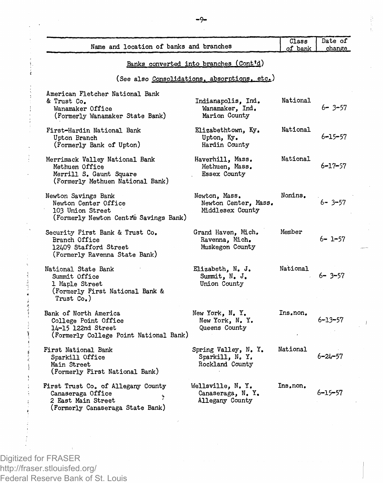| Name and location of banks and branches                                                                           |                                                            | Class<br>of bank | Date of<br>change |
|-------------------------------------------------------------------------------------------------------------------|------------------------------------------------------------|------------------|-------------------|
|                                                                                                                   | Banks converted into branches (Cont'd)                     |                  |                   |
|                                                                                                                   | (See also Consolidations, absorptions, etc.)               |                  |                   |
| American Fletcher National Bank<br>& Trust Co.<br>Wanamaker Office<br>(Formerly Wanamaker State Bank)             | Indianapolis, Ind.<br>Wanamaker, Ind.<br>Marion County     | National         | $6 - 3 - 57$      |
| First-Hardin National Bank<br>Upton Branch<br>(Formerly Bank of Upton)                                            | Elizabethtown, Ky.<br>Upton, Ky.<br>Hardin County          | National         | $6 - 15 - 57$     |
| Merrimack Valley National Bank<br>Methuen Office<br>Merrill S. Gaunt Square<br>(Formerly Methuen National Bank)   | Haverhill, Mass.<br>Methuen, Mass.<br>Essex County         | National         | $6 - 17 - 57$     |
| Newton Savings Bank<br>Newton Center Office<br>103 Union Street<br>(Formerly Newton Centre Savings Bank)          | Newton, Mass.<br>Newton Center, Mass.<br>Middlesex County  | Nonins.          | $6 - 3 - 57$      |
| Security First Bank & Trust Co.<br>Branch Office<br>12409 Stafford Street<br>(Formerly Ravenna State Bank)        | Grand Haven, Mich.<br>Ravenna, Mich.<br>Muskegon County    | Member           | $6 - 1 - 57$      |
| National State Bank<br>Summit Office<br>1 Maple Street<br>(Formerly First National Bank &<br>Trust Co.)           | Elizabeth, N. J.<br>Summit, N. J.<br>Union County          | National         | $6 - 3 - 57$      |
| Bank of North America<br>College Point Office<br>14-15 122nd Street<br>(Formerly College Point National Bank)     | New York, N.Y.<br>New York. N. Y.<br>Queens County         | Ins.non.         | $6 - 13 - 57$     |
| First National Bank<br>Sparkill Office<br>Main Street<br>(Formerly First National Bank)                           | Spring Valley, N. Y.<br>Sparkill, N. Y.<br>Rockland County | National         | $6 - 24 - 57$     |
| First Trust Co. of Allegany County<br>Canaseraga Office<br>2 East Main Street<br>(Formerly Canaseraga State Bank) | Wellsville, N. Y.<br>Canaseraga, N.Y.<br>Allegany County   | Ins.non.         | $6 - 15 - 57$     |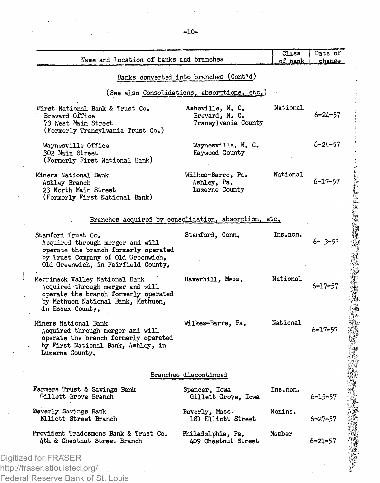| Name and location of banks and branches                                                                                                                                     |                                                           | Class<br>of bank | Date of<br>change |
|-----------------------------------------------------------------------------------------------------------------------------------------------------------------------------|-----------------------------------------------------------|------------------|-------------------|
|                                                                                                                                                                             |                                                           |                  |                   |
|                                                                                                                                                                             | Banks converted into branches (Cont'd)                    |                  |                   |
|                                                                                                                                                                             | (See also Consolidations, absorptions, etc.)              |                  |                   |
| First National Bank & Trust Co.<br>Brevard Office<br>73 West Main Street<br>(Formerly Transylvania Trust Co.)                                                               | Asheville, N. C.<br>Brevard, N. C.<br>Transylvania County | National         | $6 - 24 - 57$     |
| Waynesville Office<br>302 Main Street<br>(Formerly First National Bank)                                                                                                     | Waynesville, N. C.<br>Haywood County                      |                  | $6 - 24 - 57$     |
| Miners National Bank<br>Ashley Branch<br>23 North Main Street<br>(Formerly First National Bank)                                                                             | Wilkes-Barre, Pa.<br>Ashley, Pa.<br>Luzerne County        | National         | $6 - 17 - 57$     |
| Branches acquired by consolidation, absorption, etc.                                                                                                                        |                                                           |                  |                   |
| Stamford Trust Co.<br>Acquired through merger and will<br>operate the branch formerly operated<br>by Trust Company of Old Greenwich,<br>Old Greenwich, in Fairfield County, | Stamford, Conn.                                           | Ins.non.         | $6 - 3 - 57$      |
| Merrimack Valley National Bank<br>Acquired through merger and will<br>operate the branch formerly operated<br>by Methuen National Bank, Methuen,<br>in Essex County.        | Haverhill, Mass,                                          | National         | 6–17–57           |
| Miners National Bank<br>Acquired through merger and will<br>operate the branch formerly operated<br>by First National Bank, Ashley, in<br>Luzerne County.                   | Wilkes-Barre, Pa.                                         | National         | $6 - 17 - 57$     |
|                                                                                                                                                                             | Branches discontinued                                     |                  |                   |
| Farmers Trust & Savings Bank<br>Gillett Grove Branch                                                                                                                        | Spencer, Iowa<br>Gillett Grove, Iowa                      | Ins.non.         | $6 - 15 - 57$     |
| Beverly Savings Bank<br>Elliott Street Branch                                                                                                                               | Beverly, Mass.<br>181 Elliott Street                      | Nonins.          | $6 - 27 - 57$     |
| Provident Tradesmens Bank & Trust Co.<br>4th & Chestnut Street Branch                                                                                                       | Philadelphia, Pa.<br>409 Chestnut Street                  | Member           | $6 - 21 - 57$     |

http://fraser.stlouisfed.org/ Federal Reserve Bank of St. Louis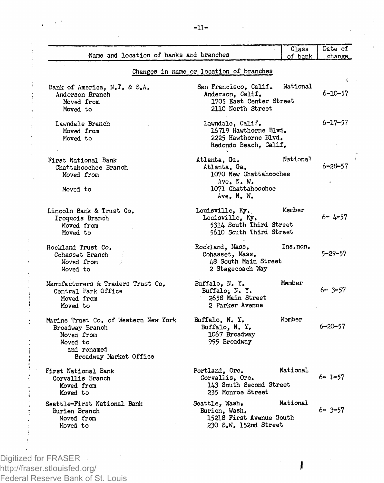| Name and location of banks and branches                                                                                    |                                                                                                          | Class<br>of bank | Date of<br>change |
|----------------------------------------------------------------------------------------------------------------------------|----------------------------------------------------------------------------------------------------------|------------------|-------------------|
|                                                                                                                            | Changes in name or location of branches                                                                  |                  |                   |
| Bank of America, N.T. & S.A.<br>Anderson Branch<br>Moved from<br>Moved to                                                  | San Francisco, Calif.<br>Anderson, Calif.<br>1705 East Center Street<br>2110 North Street                | National         | 6-10-57           |
| Lawndale Branch<br>Moved from<br>Moved to                                                                                  | Lawndale, Calif.<br>16719 Hawthorne Blvd.<br>2225 Hawthorne Blvd.<br>Redondo Beach, Calif.               |                  | 6-17-57           |
| First National Bank<br>Chattahoochee Branch<br>Moved from<br>Moved to                                                      | Atlanta, Ga.<br>Atlanta, Ga.<br>1070 New Chattahoochee<br>Ave. N. W.<br>1071 Chattahoochee<br>Ave. N. W. | National         | 6-28-57           |
| Lincoln Bank & Trust Co.<br>Iroquois Branch<br>Moved from<br>Moved to                                                      | Louisville, Ky.<br>Louisville, Ky.<br>5314 South Third Street<br>5610 South Third Street                 | Member           | $6 - 4 - 57$      |
| Rockland Trust Co.<br>Cohasset Branch<br>Moved from<br>Moved to                                                            | Rockland, Mass.<br>Cohasset, Mass.<br>48 South Main Street<br>2 Stagecoach Way                           | Ins.non.         | $5 - 29 - 57$     |
| Manufacturers & Traders Trust Co.<br>Central Park Office<br>Moved from<br>Moved to                                         | Buffalo, N.Y.<br>Buffalo. N. Y.<br>2658 Main Street<br>2 Parker Avenue                                   | Member           | $6 - 3 - 57$      |
| Marine Trust Co. of Western New York<br>Broadway Branch<br>Moved from<br>Moved to<br>and renamed<br>Broadway Market Office | Buffalo, N.Y.<br>Buffalo, N.Y.<br>1067 Broadway<br>995 Broadway                                          | Member           | 6-20-57           |
| First National Bank<br>Corvallis Branch<br>Moved from<br>Moved to                                                          | Portland, Ore.<br>Corvallis, Ore.<br>143 South Second Street<br>235 Monroe Street                        | National         | $6 - 1 - 57$      |
| Seattle-First National Bank<br>Burien Branch<br>Moved from<br>Moved to                                                     | Seattle, Wash,<br>Burien, Wash,<br>15218 First Avenue South<br>230 S.W. 152nd Street                     | National         | 6- 3-57           |

I